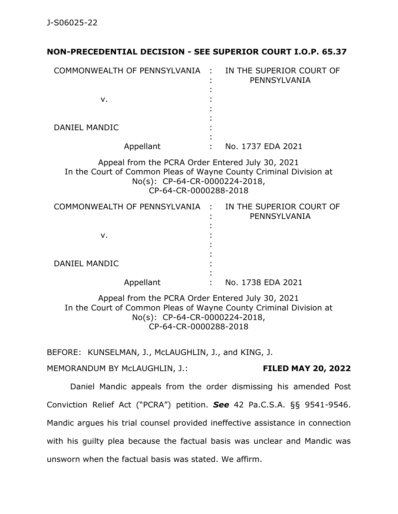## **NON-PRECEDENTIAL DECISION - SEE SUPERIOR COURT I.O.P. 65.37**

| COMMONWEALTH OF PENNSYLVANIA :                                                                                                                                                  | IN THE SUPERIOR COURT OF<br>PENNSYLVANIA |
|---------------------------------------------------------------------------------------------------------------------------------------------------------------------------------|------------------------------------------|
| ν.                                                                                                                                                                              |                                          |
| <b>DANIEL MANDIC</b>                                                                                                                                                            |                                          |
| Appellant                                                                                                                                                                       | No. 1737 EDA 2021                        |
| Appeal from the PCRA Order Entered July 30, 2021<br>In the Court of Common Pleas of Wayne County Criminal Division at<br>No(s): CP-64-CR-0000224-2018,<br>CP-64-CR-0000288-2018 |                                          |
| COMMONWEALTH OF PENNSYLVANIA : IN THE SUPERIOR COURT OF                                                                                                                         | PENNSYLVANIA                             |
| v.                                                                                                                                                                              |                                          |
| <b>DANIEL MANDIC</b>                                                                                                                                                            |                                          |
| Appellant                                                                                                                                                                       | No. 1738 EDA 2021                        |
| Appeal from the PCRA Order Entered July 30, 2021                                                                                                                                |                                          |

In the Court of Common Pleas of Wayne County Criminal Division at No(s): CP-64-CR-0000224-2018, CP-64-CR-0000288-2018

BEFORE: KUNSELMAN, J., McLAUGHLIN, J., and KING, J.

MEMORANDUM BY McLAUGHLIN, J.: **FILED MAY 20, 2022**

Daniel Mandic appeals from the order dismissing his amended Post Conviction Relief Act ("PCRA") petition. *See* 42 Pa.C.S.A. §§ 9541-9546. Mandic argues his trial counsel provided ineffective assistance in connection with his guilty plea because the factual basis was unclear and Mandic was unsworn when the factual basis was stated. We affirm.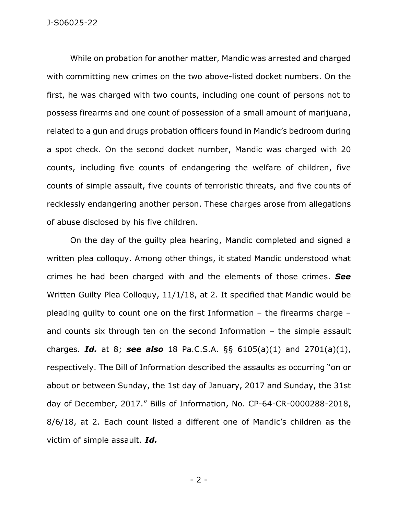While on probation for another matter, Mandic was arrested and charged with committing new crimes on the two above-listed docket numbers. On the first, he was charged with two counts, including one count of persons not to possess firearms and one count of possession of a small amount of marijuana, related to a gun and drugs probation officers found in Mandic's bedroom during a spot check. On the second docket number, Mandic was charged with 20 counts, including five counts of endangering the welfare of children, five counts of simple assault, five counts of terroristic threats, and five counts of recklessly endangering another person. These charges arose from allegations of abuse disclosed by his five children.

On the day of the guilty plea hearing, Mandic completed and signed a written plea colloquy. Among other things, it stated Mandic understood what crimes he had been charged with and the elements of those crimes. *See*  Written Guilty Plea Colloquy, 11/1/18, at 2. It specified that Mandic would be pleading guilty to count one on the first Information – the firearms charge – and counts six through ten on the second Information  $-$  the simple assault charges. *Id.* at 8; *see also* 18 Pa.C.S.A. §§ 6105(a)(1) and 2701(a)(1), respectively. The Bill of Information described the assaults as occurring "on or about or between Sunday, the 1st day of January, 2017 and Sunday, the 31st day of December, 2017." Bills of Information, No. CP-64-CR-0000288-2018, 8/6/18, at 2. Each count listed a different one of Mandic's children as the victim of simple assault. *Id.*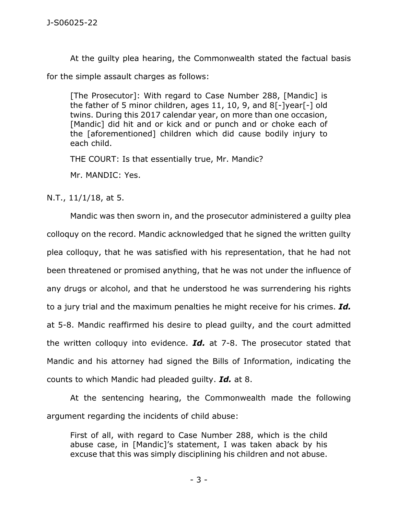At the guilty plea hearing, the Commonwealth stated the factual basis

for the simple assault charges as follows:

[The Prosecutor]: With regard to Case Number 288, [Mandic] is the father of 5 minor children, ages 11, 10, 9, and 8[-]year[-] old twins. During this 2017 calendar year, on more than one occasion, [Mandic] did hit and or kick and or punch and or choke each of the [aforementioned] children which did cause bodily injury to each child.

THE COURT: Is that essentially true, Mr. Mandic?

Mr. MANDIC: Yes.

N.T., 11/1/18, at 5.

Mandic was then sworn in, and the prosecutor administered a guilty plea colloquy on the record. Mandic acknowledged that he signed the written guilty plea colloquy, that he was satisfied with his representation, that he had not been threatened or promised anything, that he was not under the influence of any drugs or alcohol, and that he understood he was surrendering his rights to a jury trial and the maximum penalties he might receive for his crimes. *Id.* at 5-8. Mandic reaffirmed his desire to plead guilty, and the court admitted the written colloquy into evidence. *Id.* at 7-8. The prosecutor stated that Mandic and his attorney had signed the Bills of Information, indicating the counts to which Mandic had pleaded guilty. *Id.* at 8.

At the sentencing hearing, the Commonwealth made the following argument regarding the incidents of child abuse:

First of all, with regard to Case Number 288, which is the child abuse case, in [Mandic]'s statement, I was taken aback by his excuse that this was simply disciplining his children and not abuse.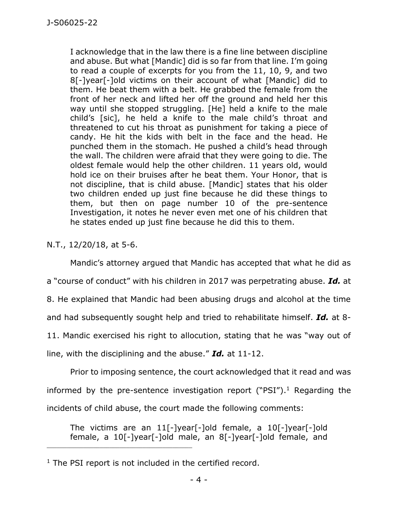I acknowledge that in the law there is a fine line between discipline and abuse. But what [Mandic] did is so far from that line. I'm going to read a couple of excerpts for you from the 11, 10, 9, and two 8[-]year[-]old victims on their account of what [Mandic] did to them. He beat them with a belt. He grabbed the female from the front of her neck and lifted her off the ground and held her this way until she stopped struggling. [He] held a knife to the male child's [sic], he held a knife to the male child's throat and threatened to cut his throat as punishment for taking a piece of candy. He hit the kids with belt in the face and the head. He punched them in the stomach. He pushed a child's head through the wall. The children were afraid that they were going to die. The oldest female would help the other children. 11 years old, would hold ice on their bruises after he beat them. Your Honor, that is not discipline, that is child abuse. [Mandic] states that his older two children ended up just fine because he did these things to them, but then on page number 10 of the pre-sentence Investigation, it notes he never even met one of his children that he states ended up just fine because he did this to them.

N.T., 12/20/18, at 5-6.

Mandic's attorney argued that Mandic has accepted that what he did as

a "course of conduct" with his children in 2017 was perpetrating abuse. *Id.* at

8. He explained that Mandic had been abusing drugs and alcohol at the time

and had subsequently sought help and tried to rehabilitate himself. *Id.* at 8-

11. Mandic exercised his right to allocution, stating that he was "way out of

line, with the disciplining and the abuse." *Id.* at 11-12.

Prior to imposing sentence, the court acknowledged that it read and was informed by the pre-sentence investigation report ("PSI").<sup>1</sup> Regarding the incidents of child abuse, the court made the following comments:

The victims are an 11[-]year[-]old female, a 10[-]year[-]old female, a 10[-]year[-]old male, an 8[-]year[-]old female, and

\_\_\_\_\_\_\_\_\_\_\_\_\_\_\_\_\_\_\_\_\_\_\_\_\_\_\_\_\_\_\_\_\_\_\_\_\_\_\_\_\_\_\_\_

 $1$  The PSI report is not included in the certified record.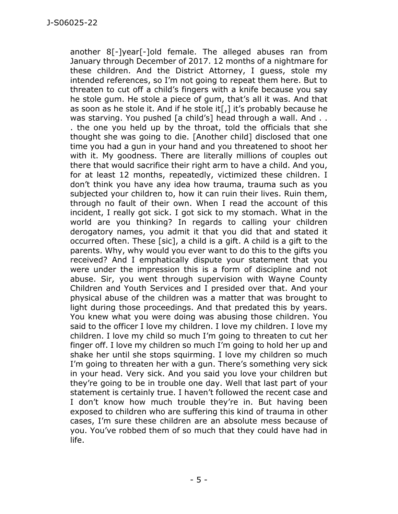another 8[-]year[-]old female. The alleged abuses ran from January through December of 2017. 12 months of a nightmare for these children. And the District Attorney, I guess, stole my intended references, so I'm not going to repeat them here. But to threaten to cut off a child's fingers with a knife because you say he stole gum. He stole a piece of gum, that's all it was. And that as soon as he stole it. And if he stole it[,] it's probably because he was starving. You pushed [a child's] head through a wall. And ... . the one you held up by the throat, told the officials that she thought she was going to die. [Another child] disclosed that one time you had a gun in your hand and you threatened to shoot her with it. My goodness. There are literally millions of couples out there that would sacrifice their right arm to have a child. And you, for at least 12 months, repeatedly, victimized these children. I don't think you have any idea how trauma, trauma such as you subjected your children to, how it can ruin their lives. Ruin them, through no fault of their own. When I read the account of this incident, I really got sick. I got sick to my stomach. What in the world are you thinking? In regards to calling your children derogatory names, you admit it that you did that and stated it occurred often. These [sic], a child is a gift. A child is a gift to the parents. Why, why would you ever want to do this to the gifts you received? And I emphatically dispute your statement that you were under the impression this is a form of discipline and not abuse. Sir, you went through supervision with Wayne County Children and Youth Services and I presided over that. And your physical abuse of the children was a matter that was brought to light during those proceedings. And that predated this by years. You knew what you were doing was abusing those children. You said to the officer I love my children. I love my children. I love my children. I love my child so much I'm going to threaten to cut her finger off. I love my children so much I'm going to hold her up and shake her until she stops squirming. I love my children so much I'm going to threaten her with a gun. There's something very sick in your head. Very sick. And you said you love your children but they're going to be in trouble one day. Well that last part of your statement is certainly true. I haven't followed the recent case and I don't know how much trouble they're in. But having been exposed to children who are suffering this kind of trauma in other cases, I'm sure these children are an absolute mess because of you. You've robbed them of so much that they could have had in life.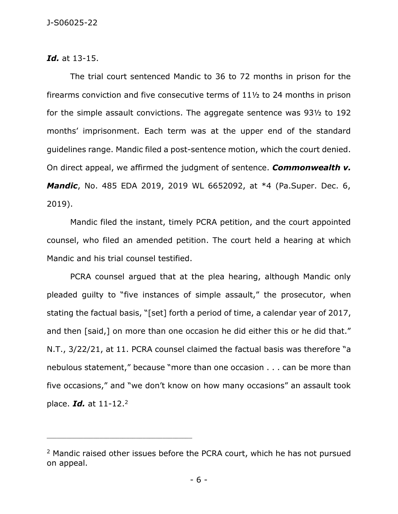*Id.* at 13-15.

The trial court sentenced Mandic to 36 to 72 months in prison for the firearms conviction and five consecutive terms of 11½ to 24 months in prison for the simple assault convictions. The aggregate sentence was 93½ to 192 months' imprisonment. Each term was at the upper end of the standard guidelines range. Mandic filed a post-sentence motion, which the court denied. On direct appeal, we affirmed the judgment of sentence. *Commonwealth v. Mandic*, No. 485 EDA 2019, 2019 WL 6652092, at \*4 (Pa.Super. Dec. 6, 2019).

Mandic filed the instant, timely PCRA petition, and the court appointed counsel, who filed an amended petition. The court held a hearing at which Mandic and his trial counsel testified.

PCRA counsel argued that at the plea hearing, although Mandic only pleaded guilty to "five instances of simple assault," the prosecutor, when stating the factual basis, "[set] forth a period of time, a calendar year of 2017, and then [said,] on more than one occasion he did either this or he did that." N.T., 3/22/21, at 11. PCRA counsel claimed the factual basis was therefore "a nebulous statement," because "more than one occasion . . . can be more than five occasions," and "we don't know on how many occasions" an assault took place. *Id.* at 11-12.<sup>2</sup>

\_\_\_\_\_\_\_\_\_\_\_\_\_\_\_\_\_\_\_\_\_\_\_\_\_\_\_\_\_\_\_\_\_\_\_\_\_\_\_\_\_\_\_\_

<sup>2</sup> Mandic raised other issues before the PCRA court, which he has not pursued on appeal.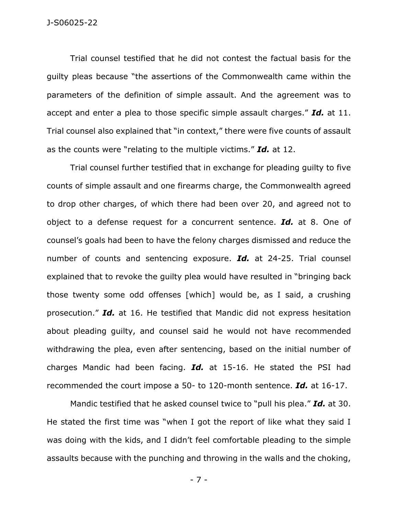Trial counsel testified that he did not contest the factual basis for the guilty pleas because "the assertions of the Commonwealth came within the parameters of the definition of simple assault. And the agreement was to accept and enter a plea to those specific simple assault charges." *Id.* at 11. Trial counsel also explained that "in context," there were five counts of assault as the counts were "relating to the multiple victims." *Id.* at 12.

Trial counsel further testified that in exchange for pleading guilty to five counts of simple assault and one firearms charge, the Commonwealth agreed to drop other charges, of which there had been over 20, and agreed not to object to a defense request for a concurrent sentence. *Id.* at 8. One of counsel's goals had been to have the felony charges dismissed and reduce the number of counts and sentencing exposure. *Id.* at 24-25. Trial counsel explained that to revoke the guilty plea would have resulted in "bringing back those twenty some odd offenses [which] would be, as I said, a crushing prosecution." *Id.* at 16. He testified that Mandic did not express hesitation about pleading guilty, and counsel said he would not have recommended withdrawing the plea, even after sentencing, based on the initial number of charges Mandic had been facing. *Id.* at 15-16. He stated the PSI had recommended the court impose a 50- to 120-month sentence. *Id.* at 16-17.

Mandic testified that he asked counsel twice to "pull his plea." *Id.* at 30. He stated the first time was "when I got the report of like what they said I was doing with the kids, and I didn't feel comfortable pleading to the simple assaults because with the punching and throwing in the walls and the choking,

- 7 -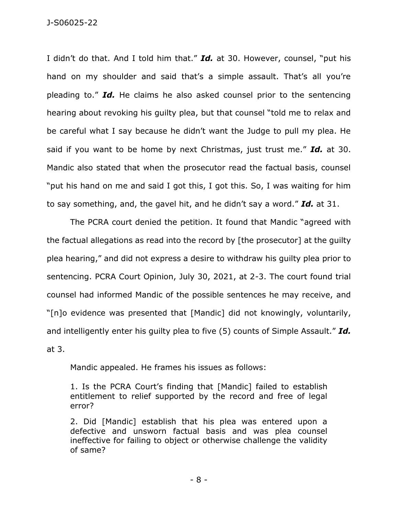J-S06025-22

I didn't do that. And I told him that." *Id.* at 30. However, counsel, "put his hand on my shoulder and said that's a simple assault. That's all you're pleading to." *Id.* He claims he also asked counsel prior to the sentencing hearing about revoking his guilty plea, but that counsel "told me to relax and be careful what I say because he didn't want the Judge to pull my plea. He said if you want to be home by next Christmas, just trust me." *Id.* at 30. Mandic also stated that when the prosecutor read the factual basis, counsel "put his hand on me and said I got this, I got this. So, I was waiting for him to say something, and, the gavel hit, and he didn't say a word." *Id.* at 31.

The PCRA court denied the petition. It found that Mandic "agreed with the factual allegations as read into the record by [the prosecutor] at the guilty plea hearing," and did not express a desire to withdraw his guilty plea prior to sentencing. PCRA Court Opinion, July 30, 2021, at 2-3. The court found trial counsel had informed Mandic of the possible sentences he may receive, and "[n]o evidence was presented that [Mandic] did not knowingly, voluntarily, and intelligently enter his guilty plea to five (5) counts of Simple Assault." *Id.* at 3.

Mandic appealed. He frames his issues as follows:

1. Is the PCRA Court's finding that [Mandic] failed to establish entitlement to relief supported by the record and free of legal error?

2. Did [Mandic] establish that his plea was entered upon a defective and unsworn factual basis and was plea counsel ineffective for failing to object or otherwise challenge the validity of same?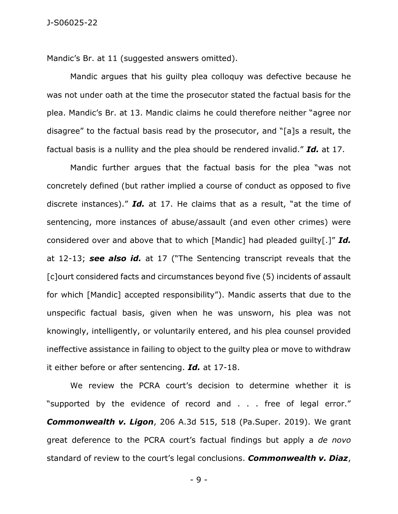Mandic's Br. at 11 (suggested answers omitted).

Mandic argues that his guilty plea colloquy was defective because he was not under oath at the time the prosecutor stated the factual basis for the plea. Mandic's Br. at 13. Mandic claims he could therefore neither "agree nor disagree" to the factual basis read by the prosecutor, and "[a]s a result, the factual basis is a nullity and the plea should be rendered invalid." *Id.* at 17.

Mandic further argues that the factual basis for the plea "was not concretely defined (but rather implied a course of conduct as opposed to five discrete instances)." *Id.* at 17. He claims that as a result, "at the time of sentencing, more instances of abuse/assault (and even other crimes) were considered over and above that to which [Mandic] had pleaded guilty[.]" *Id.* at 12-13; *see also id.* at 17 ("The Sentencing transcript reveals that the [c]ourt considered facts and circumstances beyond five (5) incidents of assault for which [Mandic] accepted responsibility"). Mandic asserts that due to the unspecific factual basis, given when he was unsworn, his plea was not knowingly, intelligently, or voluntarily entered, and his plea counsel provided ineffective assistance in failing to object to the guilty plea or move to withdraw it either before or after sentencing. *Id.* at 17-18.

We review the PCRA court's decision to determine whether it is "supported by the evidence of record and . . . free of legal error." *Commonwealth v. Ligon*, 206 A.3d 515, 518 (Pa.Super. 2019). We grant great deference to the PCRA court's factual findings but apply a *de novo* standard of review to the court's legal conclusions. *Commonwealth v. Diaz*,

- 9 -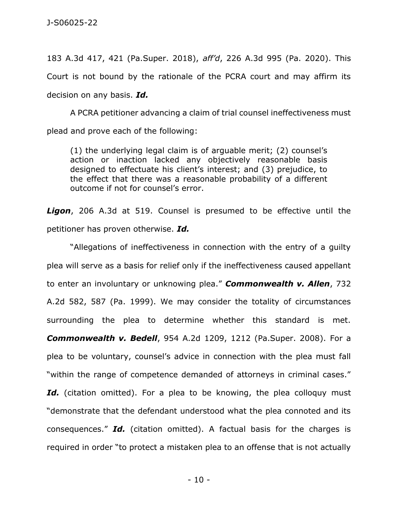183 A.3d 417, 421 (Pa.Super. 2018), *aff'd*, 226 A.3d 995 (Pa. 2020). This Court is not bound by the rationale of the PCRA court and may affirm its decision on any basis. *Id.*

A PCRA petitioner advancing a claim of trial counsel ineffectiveness must plead and prove each of the following:

(1) the underlying legal claim is of arguable merit; (2) counsel's action or inaction lacked any objectively reasonable basis designed to effectuate his client's interest; and (3) prejudice, to the effect that there was a reasonable probability of a different outcome if not for counsel's error.

*Ligon*, 206 A.3d at 519. Counsel is presumed to be effective until the petitioner has proven otherwise. *Id.*

"Allegations of ineffectiveness in connection with the entry of a guilty plea will serve as a basis for relief only if the ineffectiveness caused appellant to enter an involuntary or unknowing plea." *Commonwealth v. Allen*, 732 A.2d 582, 587 (Pa. 1999). We may consider the totality of circumstances surrounding the plea to determine whether this standard is met. *Commonwealth v. Bedell*, 954 A.2d 1209, 1212 (Pa.Super. 2008). For a plea to be voluntary, counsel's advice in connection with the plea must fall "within the range of competence demanded of attorneys in criminal cases." Id. (citation omitted). For a plea to be knowing, the plea colloquy must "demonstrate that the defendant understood what the plea connoted and its consequences." *Id.* (citation omitted). A factual basis for the charges is required in order "to protect a mistaken plea to an offense that is not actually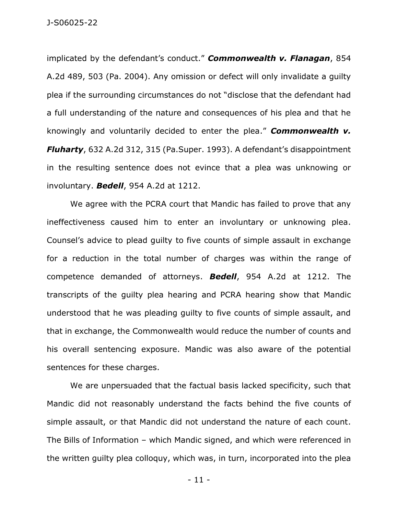implicated by the defendant's conduct." *Commonwealth v. Flanagan*, 854 A.2d 489, 503 (Pa. 2004). Any omission or defect will only invalidate a guilty plea if the surrounding circumstances do not "disclose that the defendant had a full understanding of the nature and consequences of his plea and that he knowingly and voluntarily decided to enter the plea." *Commonwealth v. Fluharty*, 632 A.2d 312, 315 (Pa.Super. 1993). A defendant's disappointment in the resulting sentence does not evince that a plea was unknowing or involuntary. *Bedell*, 954 A.2d at 1212.

We agree with the PCRA court that Mandic has failed to prove that any ineffectiveness caused him to enter an involuntary or unknowing plea. Counsel's advice to plead guilty to five counts of simple assault in exchange for a reduction in the total number of charges was within the range of competence demanded of attorneys. *Bedell*, 954 A.2d at 1212. The transcripts of the guilty plea hearing and PCRA hearing show that Mandic understood that he was pleading guilty to five counts of simple assault, and that in exchange, the Commonwealth would reduce the number of counts and his overall sentencing exposure. Mandic was also aware of the potential sentences for these charges.

We are unpersuaded that the factual basis lacked specificity, such that Mandic did not reasonably understand the facts behind the five counts of simple assault, or that Mandic did not understand the nature of each count. The Bills of Information – which Mandic signed, and which were referenced in the written guilty plea colloquy, which was, in turn, incorporated into the plea

- 11 -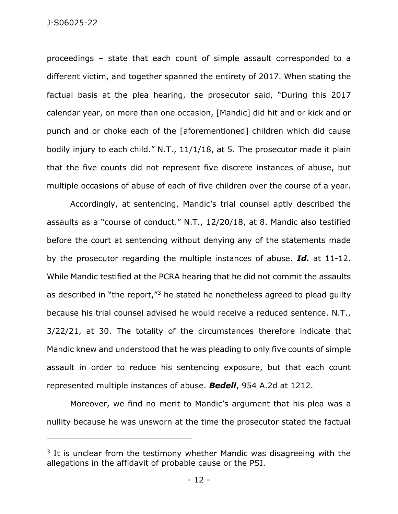proceedings – state that each count of simple assault corresponded to a different victim, and together spanned the entirety of 2017. When stating the factual basis at the plea hearing, the prosecutor said, "During this 2017 calendar year, on more than one occasion, [Mandic] did hit and or kick and or punch and or choke each of the [aforementioned] children which did cause bodily injury to each child." N.T., 11/1/18, at 5. The prosecutor made it plain that the five counts did not represent five discrete instances of abuse, but multiple occasions of abuse of each of five children over the course of a year.

Accordingly, at sentencing, Mandic's trial counsel aptly described the assaults as a "course of conduct." N.T., 12/20/18, at 8. Mandic also testified before the court at sentencing without denying any of the statements made by the prosecutor regarding the multiple instances of abuse. *Id.* at 11-12. While Mandic testified at the PCRA hearing that he did not commit the assaults as described in "the report,"<sup>3</sup> he stated he nonetheless agreed to plead guilty because his trial counsel advised he would receive a reduced sentence. N.T., 3/22/21, at 30. The totality of the circumstances therefore indicate that Mandic knew and understood that he was pleading to only five counts of simple assault in order to reduce his sentencing exposure, but that each count represented multiple instances of abuse. *Bedell*, 954 A.2d at 1212.

Moreover, we find no merit to Mandic's argument that his plea was a nullity because he was unsworn at the time the prosecutor stated the factual

\_\_\_\_\_\_\_\_\_\_\_\_\_\_\_\_\_\_\_\_\_\_\_\_\_\_\_\_\_\_\_\_\_\_\_\_\_\_\_\_\_\_\_\_

<sup>&</sup>lt;sup>3</sup> It is unclear from the testimony whether Mandic was disagreeing with the allegations in the affidavit of probable cause or the PSI.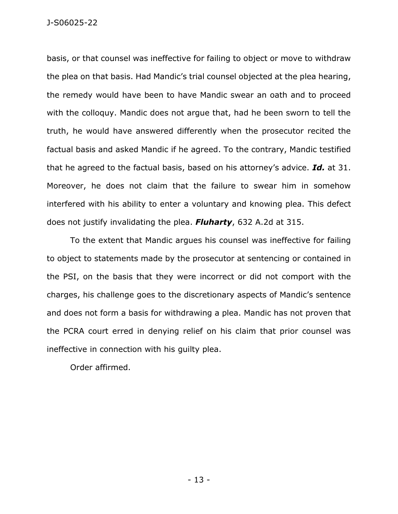basis, or that counsel was ineffective for failing to object or move to withdraw the plea on that basis. Had Mandic's trial counsel objected at the plea hearing, the remedy would have been to have Mandic swear an oath and to proceed with the colloquy. Mandic does not argue that, had he been sworn to tell the truth, he would have answered differently when the prosecutor recited the factual basis and asked Mandic if he agreed. To the contrary, Mandic testified that he agreed to the factual basis, based on his attorney's advice. *Id.* at 31. Moreover, he does not claim that the failure to swear him in somehow interfered with his ability to enter a voluntary and knowing plea. This defect does not justify invalidating the plea. *Fluharty*, 632 A.2d at 315.

To the extent that Mandic argues his counsel was ineffective for failing to object to statements made by the prosecutor at sentencing or contained in the PSI, on the basis that they were incorrect or did not comport with the charges, his challenge goes to the discretionary aspects of Mandic's sentence and does not form a basis for withdrawing a plea. Mandic has not proven that the PCRA court erred in denying relief on his claim that prior counsel was ineffective in connection with his guilty plea.

Order affirmed.